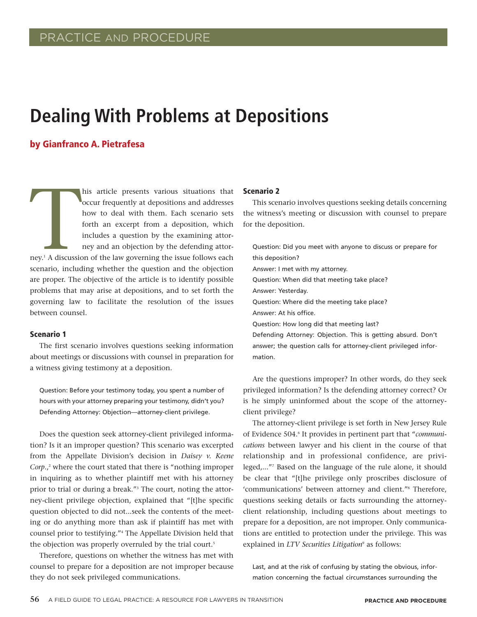# **Dealing With Problems at Depositions**

## by Gianfranco A. Pietrafesa

The Marian Contractor Contractor Contractor Contractor Contractor Contractor Contractor Contractor Contractor Contractor Contractor Contractor Contractor Contractor Contractor Contractor Contractor Contractor Contractor Co his article presents various situations that occur frequently at depositions and addresses how to deal with them. Each scenario sets forth an excerpt from a deposition, which includes a question by the examining attorney and an objection by the defending attorney.<sup>1</sup> A discussion of the law governing the issue follows each scenario, including whether the question and the objection are proper. The objective of the article is to identify possible problems that may arise at depositions, and to set forth the governing law to facilitate the resolution of the issues between counsel.

## Scenario 1

The first scenario involves questions seeking information about meetings or discussions with counsel in preparation for a witness giving testimony at a deposition.

Question: Before your testimony today, you spent a number of hours with your attorney preparing your testimony, didn't you? Defending Attorney: Objection—attorney-client privilege.

Does the question seek attorney-client privileged information? Is it an improper question? This scenario was excerpted from the Appellate Division's decision in *Daisey v. Keene Corp*., <sup>2</sup> where the court stated that there is "nothing improper in inquiring as to whether plaintiff met with his attorney prior to trial or during a break."<sup>3</sup> The court, noting the attorney-client privilege objection, explained that "[t]he specific question objected to did not...seek the contents of the meeting or do anything more than ask if plaintiff has met with counsel prior to testifying."<sup>4</sup> The Appellate Division held that the objection was properly overruled by the trial court.<sup>5</sup>

Therefore, questions on whether the witness has met with counsel to prepare for a deposition are not improper because they do not seek privileged communications.

#### Scenario 2

This scenario involves questions seeking details concerning the witness's meeting or discussion with counsel to prepare for the deposition.

Question: Did you meet with anyone to discuss or prepare for this deposition? Answer: I met with my attorney. Question: When did that meeting take place? Answer: Yesterday. Question: Where did the meeting take place? Answer: At his office. Question: How long did that meeting last? Defending Attorney: Objection. This is getting absurd. Don't answer; the question calls for attorney-client privileged information.

Are the questions improper? In other words, do they seek privileged information? Is the defending attorney correct? Or is he simply uninformed about the scope of the attorneyclient privilege?

The attorney-client privilege is set forth in New Jersey Rule of Evidence 504.<sup>6</sup> It provides in pertinent part that "*communications* between lawyer and his client in the course of that relationship and in professional confidence, are privileged,..."<sup>7</sup> Based on the language of the rule alone, it should be clear that "[t]he privilege only proscribes disclosure of 'communications' between attorney and client."<sup>8</sup> Therefore, questions seeking details or facts surrounding the attorneyclient relationship, including questions about meetings to prepare for a deposition, are not improper. Only communications are entitled to protection under the privilege. This was explained in *LTV Securities Litigation<sup>9</sup>* as follows:

Last, and at the risk of confusing by stating the obvious, information concerning the factual circumstances surrounding the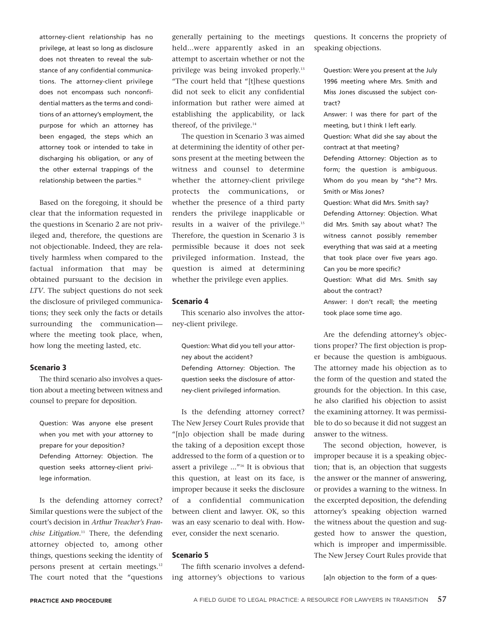attorney-client relationship has no privilege, at least so long as disclosure does not threaten to reveal the substance of any confidential communications. The attorney-client privilege does not encompass such nonconfidential matters as the terms and conditions of an attorney's employment, the purpose for which an attorney has been engaged, the steps which an attorney took or intended to take in discharging his obligation, or any of the other external trappings of the relationship between the parties.<sup>10</sup>

Based on the foregoing, it should be clear that the information requested in the questions in Scenario 2 are not privileged and, therefore, the questions are not objectionable. Indeed, they are relatively harmless when compared to the factual information that may be obtained pursuant to the decision in *LTV*. The subject questions do not seek the disclosure of privileged communications; they seek only the facts or details surrounding the communication where the meeting took place, when, how long the meeting lasted, etc.

### Scenario 3

The third scenario also involves a question about a meeting between witness and counsel to prepare for deposition.

Question: Was anyone else present when you met with your attorney to prepare for your deposition? Defending Attorney: Objection. The question seeks attorney-client privilege information.

Is the defending attorney correct? Similar questions were the subject of the court's decision in *Arthur Treacher's Franchise Litigation*. <sup>11</sup> There, the defending attorney objected to, among other things, questions seeking the identity of persons present at certain meetings.<sup>12</sup> The court noted that the "questions generally pertaining to the meetings held...were apparently asked in an attempt to ascertain whether or not the privilege was being invoked properly.<sup>13</sup> "The court held that "[t]hese questions did not seek to elicit any confidential information but rather were aimed at establishing the applicability, or lack thereof, of the privilege. $14$ 

The question in Scenario 3 was aimed at determining the identity of other persons present at the meeting between the witness and counsel to determine whether the attorney-client privilege protects the communications, or whether the presence of a third party renders the privilege inapplicable or results in a waiver of the privilege.<sup>15</sup> Therefore, the question in Scenario 3 is permissible because it does not seek privileged information. Instead, the question is aimed at determining whether the privilege even applies.

#### Scenario 4

This scenario also involves the attorney-client privilege.

Question: What did you tell your attorney about the accident? Defending Attorney: Objection. The question seeks the disclosure of attorney-client privileged information.

Is the defending attorney correct? The New Jersey Court Rules provide that "[n]o objection shall be made during the taking of a deposition except those addressed to the form of a question or to assert a privilege ..."<sup>16</sup> It is obvious that this question, at least on its face, is improper because it seeks the disclosure of a confidential communication between client and lawyer. OK, so this was an easy scenario to deal with. However, consider the next scenario.

## Scenario 5

The fifth scenario involves a defending attorney's objections to various questions. It concerns the propriety of speaking objections.

Question: Were you present at the July 1996 meeting where Mrs. Smith and Miss Jones discussed the subject contract?

Answer: I was there for part of the meeting, but I think I left early.

Question: What did she say about the contract at that meeting?

Defending Attorney: Objection as to form; the question is ambiguous. Whom do you mean by "she"? Mrs. Smith or Miss Jones?

Question: What did Mrs. Smith say? Defending Attorney: Objection. What did Mrs. Smith say about what? The witness cannot possibly remember everything that was said at a meeting that took place over five years ago. Can you be more specific?

Question: What did Mrs. Smith say about the contract?

Answer: I don't recall; the meeting took place some time ago.

Are the defending attorney's objections proper? The first objection is proper because the question is ambiguous. The attorney made his objection as to the form of the question and stated the grounds for the objection. In this case, he also clarified his objection to assist the examining attorney. It was permissible to do so because it did not suggest an answer to the witness.

The second objection, however, is improper because it is a speaking objection; that is, an objection that suggests the answer or the manner of answering, or provides a warning to the witness. In the excerpted deposition, the defending attorney's speaking objection warned the witness about the question and suggested how to answer the question, which is improper and impermissible. The New Jersey Court Rules provide that

[a]n objection to the form of a ques-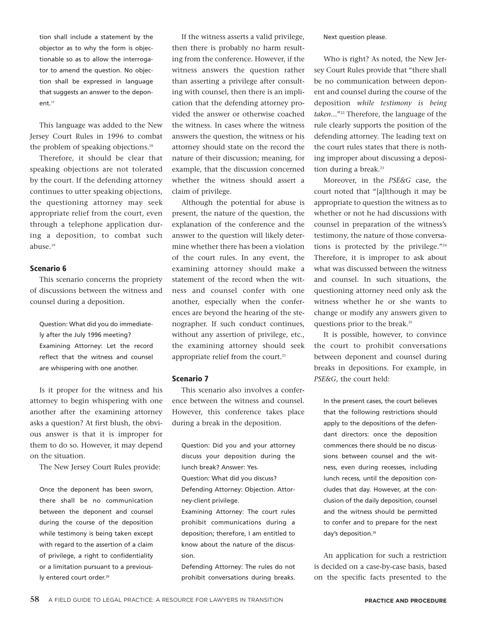tion shall include a statement by the objector as to why the form is objectionable so as to allow the interrogator to amend the question. No objection shall be expressed in language that suggests an answer to the deponent.<sup>17</sup>

This language was added to the New Jersey Court Rules in 1996 to combat the problem of speaking objections.<sup>18</sup>

Therefore, it should be clear that speaking objections are not tolerated by the court. If the defending attorney continues to utter speaking objections, the questioning attorney may seek appropriate relief from the court, even through a telephone application during a deposition, to combat such abuse.<sup>19</sup>

## Scenario 6

This scenario concerns the propriety of discussions between the witness and counsel during a deposition.

Question: What did you do immediately after the July 1996 meeting? Examining Attorney: Let the record reflect that the witness and counsel are whispering with one another.

Is it proper for the witness and his attorney to begin whispering with one another after the examining attorney asks a question? At first blush, the obvious answer is that it is improper for them to do so. However, it may depend on the situation.

The New Jersey Court Rules provide:

Once the deponent has been sworn, there shall be no communication between the deponent and counsel during the course of the deposition while testimony is being taken except with regard to the assertion of a claim of privilege, a right to confidentiality or a limitation pursuant to a previously entered court order.<sup>20</sup>

If the witness asserts a valid privilege, then there is probably no harm resulting from the conference. However, if the witness answers the question rather than asserting a privilege after consulting with counsel, then there is an implication that the defending attorney provided the answer or otherwise coached the witness. In cases where the witness answers the question, the witness or his attorney should state on the record the nature of their discussion; meaning, for example, that the discussion concerned whether the witness should assert a claim of privilege.

Although the potential for abuse is present, the nature of the question, the explanation of the conference and the answer to the question will likely determine whether there has been a violation of the court rules. In any event, the examining attorney should make a statement of the record when the witness and counsel confer with one another, especially when the conferences are beyond the hearing of the stenographer. If such conduct continues, without any assertion of privilege, etc., the examining attorney should seek appropriate relief from the court. $21$ 

## Scenario 7

This scenario also involves a conference between the witness and counsel. However, this conference takes place during a break in the deposition.

Question: Did you and your attorney discuss your deposition during the lunch break? Answer: Yes. Question: What did you discuss? Defending Attorney: Objection. Attorney-client privilege. Examining Attorney: The court rules prohibit communications during a deposition; therefore, I am entitled to know about the nature of the discussion.

Defending Attorney: The rules do not prohibit conversations during breaks.

Next question please.

Who is right? As noted, the New Jersey Court Rules provide that "there shall be no communication between deponent and counsel during the course of the deposition *while testimony is being taken*..."<sup>22</sup> Therefore, the language of the rule clearly supports the position of the defending attorney. The leading text on the court rules states that there is nothing improper about discussing a deposition during a break.<sup>23</sup>

Moreover, in the *PSE&G* case, the court noted that "[a]lthough it may be appropriate to question the witness as to whether or not he had discussions with counsel in preparation of the witness's testimony, the nature of those conversations is protected by the privilege."<sup>24</sup> Therefore, it is improper to ask about what was discussed between the witness and counsel. In such situations, the questioning attorney need only ask the witness whether he or she wants to change or modify any answers given to questions prior to the break.<sup>25</sup>

It is possible, however, to convince the court to prohibit conversations between deponent and counsel during breaks in depositions. For example, in *PSE&G,* the court held:

In the present cases, the court believes that the following restrictions should apply to the depositions of the defendant directors: once the deposition commences there should be no discussions between counsel and the witness, even during recesses, including lunch recess, until the deposition concludes that day. However, at the conclusion of the daily deposition, counsel and the witness should be permitted to confer and to prepare for the next day's deposition.<sup>26</sup>

An application for such a restriction is decided on a case-by-case basis, based on the specific facts presented to the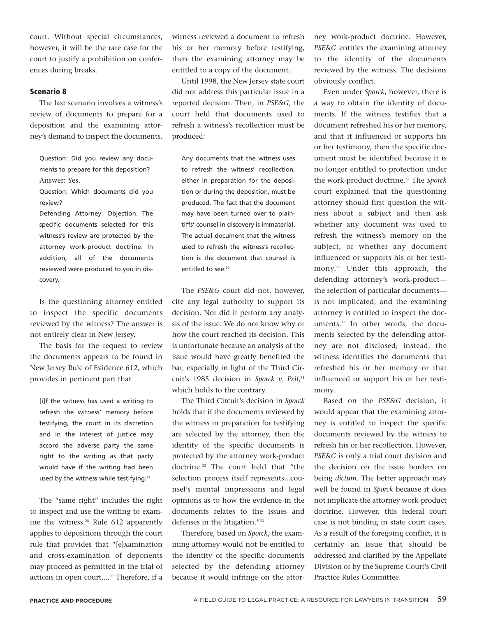court. Without special circumstances, however, it will be the rare case for the court to justify a prohibition on conferences during breaks.

## Scenario 8

The last scenario involves a witness's review of documents to prepare for a deposition and the examining attorney's demand to inspect the documents.

Question: Did you review any documents to prepare for this deposition? Answer: Yes.

Question: Which documents did you review?

Defending Attorney: Objection. The specific documents selected for this witness's review are protected by the attorney work-product doctrine. In addition, all of the documents reviewed were produced to you in discovery.

Is the questioning attorney entitled to inspect the specific documents reviewed by the witness? The answer is not entirely clear in New Jersey.

The basis for the request to review the documents appears to be found in New Jersey Rule of Evidence 612, which provides in pertinent part that

[i]f the witness has used a writing to refresh the witness' memory before testifying, the court in its discretion and in the interest of justice may accord the adverse party the same right to the writing as that party would have if the writing had been used by the witness while testifying.<sup>27</sup>

The "same right" includes the right to inspect and use the writing to examine the witness.<sup>28</sup> Rule 612 apparently applies to depositions through the court rule that provides that "[e]xamination and cross-examination of deponents may proceed as permitted in the trial of actions in open court,...<sup>29</sup> Therefore, if a

witness reviewed a document to refresh his or her memory before testifying, then the examining attorney may be entitled to a copy of the document.

Until 1998, the New Jersey state court did not address this particular issue in a reported decision. Then, in *PSE&G*, the court held that documents used to refresh a witness's recollection must be produced:

Any documents that the witness uses to refresh the witness' recollection, either in preparation for the deposition or during the deposition, must be produced. The fact that the document may have been turned over to plaintiffs' counsel in discovery is immaterial. The actual document that the witness used to refresh the witness's recollection is the document that counsel is entitled to see.<sup>30</sup>

The *PSE&G* court did not, however, cite any legal authority to support its decision. Nor did it perform any analysis of the issue. We do not know why or how the court reached its decision. This is unfortunate because an analysis of the issue would have greatly benefited the bar, especially in light of the Third Circuit's 1985 decision in *Sporck v. Peil*, 31 which holds to the contrary.

The Third Circuit's decision in *Sporck* holds that if the documents reviewed by the witness in preparation for testifying are selected by the attorney, then the identity of the specific documents is protected by the attorney work-product doctrine.<sup>32</sup> The court held that "the selection process itself represents...counsel's mental impressions and legal opinions as to how the evidence in the documents relates to the issues and defenses in the litigation."<sup>33</sup>

Therefore, based on *Sporck*, the examining attorney would not be entitled to the identity of the specific documents selected by the defending attorney because it would infringe on the attorney work-product doctrine. However, *PSE&G* entitles the examining attorney to the identity of the documents reviewed by the witness. The decisions obviously conflict.

Even under *Sporck*, however, there is a way to obtain the identity of documents. If the witness testifies that a document refreshed his or her memory, and that it influenced or supports his or her testimony, then the specific document must be identified because it is no longer entitled to protection under the work-product doctrine.<sup>34</sup> The *Sporck* court explained that the questioning attorney should first question the witness about a subject and then ask whether any document was used to refresh the witness's memory on the subject, or whether any document influenced or supports his or her testimony.<sup>35</sup> Under this approach, the defending attorney's work-product the selection of particular documents is not implicated, and the examining attorney is entitled to inspect the documents.<sup>36</sup> In other words, the documents selected by the defending attorney are not disclosed; instead, the witness identifies the documents that refreshed his or her memory or that influenced or support his or her testimony.

Based on the *PSE&G* decision, it would appear that the examining attorney is entitled to inspect the specific documents reviewed by the witness to refresh his or her recollection. However, *PSE&G* is only a trial court decision and the decision on the issue borders on being *dictum*. The better approach may well be found in *Sporck* because it does not implicate the attorney work-product doctrine. However, this federal court case is not binding in state court cases. As a result of the foregoing conflict, it is certainly an issue that should be addressed and clarified by the Appellate Division or by the Supreme Court's Civil Practice Rules Committee.